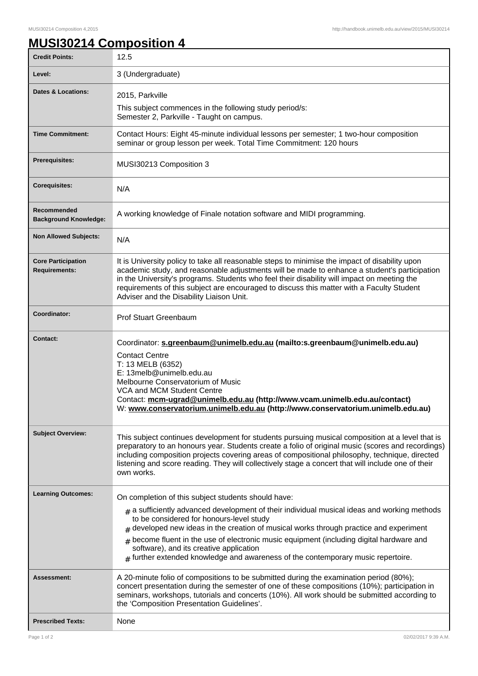## **MUSI30214 Composition 4**

| <b>Credit Points:</b>                             | 12.5                                                                                                                                                                                                                                                                                                                                                                                                                                                                 |
|---------------------------------------------------|----------------------------------------------------------------------------------------------------------------------------------------------------------------------------------------------------------------------------------------------------------------------------------------------------------------------------------------------------------------------------------------------------------------------------------------------------------------------|
| Level:                                            | 3 (Undergraduate)                                                                                                                                                                                                                                                                                                                                                                                                                                                    |
| Dates & Locations:                                | 2015, Parkville                                                                                                                                                                                                                                                                                                                                                                                                                                                      |
|                                                   | This subject commences in the following study period/s:<br>Semester 2, Parkville - Taught on campus.                                                                                                                                                                                                                                                                                                                                                                 |
| <b>Time Commitment:</b>                           | Contact Hours: Eight 45-minute individual lessons per semester; 1 two-hour composition<br>seminar or group lesson per week. Total Time Commitment: 120 hours                                                                                                                                                                                                                                                                                                         |
| Prerequisites:                                    | MUSI30213 Composition 3                                                                                                                                                                                                                                                                                                                                                                                                                                              |
| <b>Corequisites:</b>                              | N/A                                                                                                                                                                                                                                                                                                                                                                                                                                                                  |
| Recommended<br><b>Background Knowledge:</b>       | A working knowledge of Finale notation software and MIDI programming.                                                                                                                                                                                                                                                                                                                                                                                                |
| <b>Non Allowed Subjects:</b>                      | N/A                                                                                                                                                                                                                                                                                                                                                                                                                                                                  |
| <b>Core Participation</b><br><b>Requirements:</b> | It is University policy to take all reasonable steps to minimise the impact of disability upon<br>academic study, and reasonable adjustments will be made to enhance a student's participation<br>in the University's programs. Students who feel their disability will impact on meeting the<br>requirements of this subject are encouraged to discuss this matter with a Faculty Student<br>Adviser and the Disability Liaison Unit.                               |
| Coordinator:                                      | <b>Prof Stuart Greenbaum</b>                                                                                                                                                                                                                                                                                                                                                                                                                                         |
| <b>Contact:</b>                                   | Coordinator: s.greenbaum@unimelb.edu.au (mailto:s.greenbaum@unimelb.edu.au)<br><b>Contact Centre</b><br>T: 13 MELB (6352)<br>E: 13melb@unimelb.edu.au<br>Melbourne Conservatorium of Music<br>VCA and MCM Student Centre<br>Contact: mcm-ugrad@unimelb.edu.au (http://www.vcam.unimelb.edu.au/contact)<br>W: www.conservatorium.unimelb.edu.au (http://www.conservatorium.unimelb.edu.au)                                                                            |
| <b>Subject Overview:</b>                          | This subject continues development for students pursuing musical composition at a level that is<br>preparatory to an honours year. Students create a folio of original music (scores and recordings)<br>including composition projects covering areas of compositional philosophy, technique, directed<br>listening and score reading. They will collectively stage a concert that will include one of their<br>own works.                                           |
| <b>Learning Outcomes:</b>                         | On completion of this subject students should have:                                                                                                                                                                                                                                                                                                                                                                                                                  |
|                                                   | $*$ a sufficiently advanced development of their individual musical ideas and working methods<br>to be considered for honours-level study<br>$#$ developed new ideas in the creation of musical works through practice and experiment<br>$#$ become fluent in the use of electronic music equipment (including digital hardware and<br>software), and its creative application<br>$*$ further extended knowledge and awareness of the contemporary music repertoire. |
| Assessment:                                       | A 20-minute folio of compositions to be submitted during the examination period (80%);<br>concert presentation during the semester of one of these compositions (10%); participation in<br>seminars, workshops, tutorials and concerts (10%). All work should be submitted according to<br>the 'Composition Presentation Guidelines'.                                                                                                                                |
| <b>Prescribed Texts:</b>                          | None                                                                                                                                                                                                                                                                                                                                                                                                                                                                 |